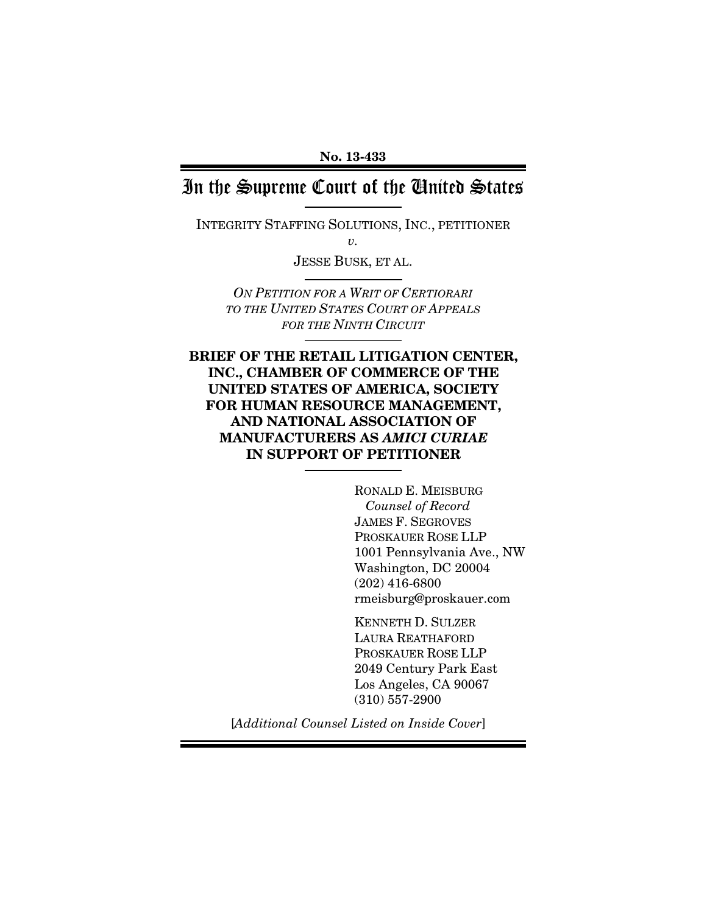# In the Supreme Court of the United States

INTEGRITY STAFFING SOLUTIONS, INC., PETITIONER *v.* 

JESSE BUSK, ET AL.

*ON PETITION FOR A WRIT OF CERTIORARI TO THE UNITED STATES COURT OF APPEALS FOR THE NINTH CIRCUIT*

BRIEF OF THE RETAIL LITIGATION CENTER, INC., CHAMBER OF COMMERCE OF THE UNITED STATES OF AMERICA, SOCIETY FOR HUMAN RESOURCE MANAGEMENT, AND NATIONAL ASSOCIATION OF MANUFACTURERS AS *AMICI CURIAE*  IN SUPPORT OF PETITIONER

> RONALD E. MEISBURG  *Counsel of Record* JAMES F. SEGROVES PROSKAUER ROSE LLP 1001 Pennsylvania Ave., NW Washington, DC 20004 (202) 416-6800 rmeisburg@proskauer.com

KENNETH D. SULZER LAURA REATHAFORD PROSKAUER ROSE LLP 2049 Century Park East Los Angeles, CA 90067 (310) 557-2900

[*Additional Counsel Listed on Inside Cover*]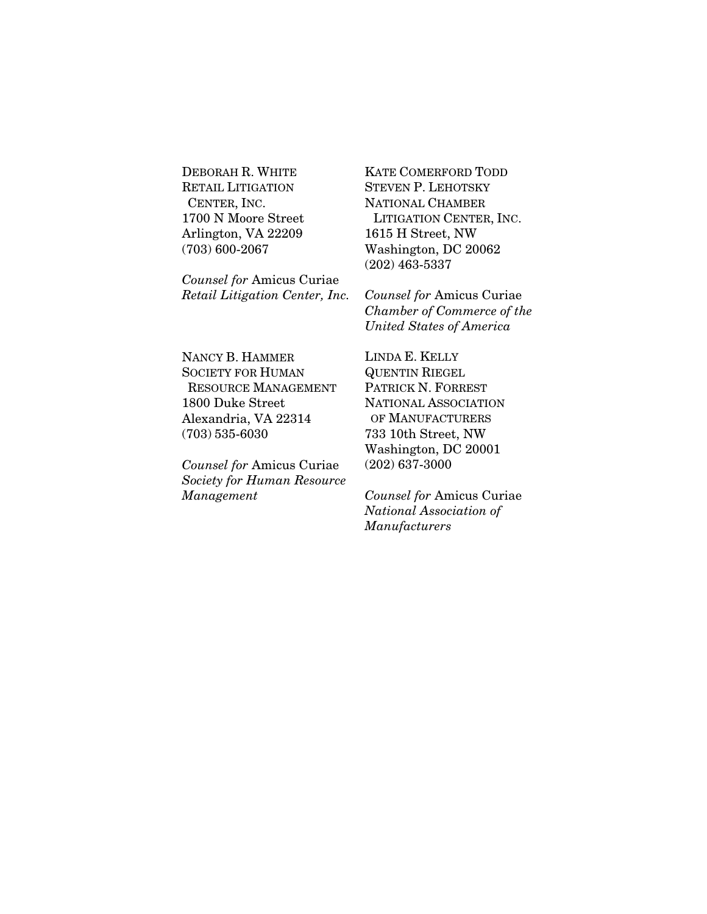DEBORAH R. WHITE RETAIL LITIGATION CENTER, INC. 1700 N Moore Street Arlington, VA 22209 (703) 600-2067

*Counsel for* Amicus Curiae *Retail Litigation Center, Inc.* KATE COMERFORD TODD STEVEN P. LEHOTSKY NATIONAL CHAMBER LITIGATION CENTER, INC. 1615 H Street, NW Washington, DC 20062 (202) 463-5337

*Counsel for* Amicus Curiae *Chamber of Commerce of the United States of America* 

NANCY B. HAMMER SOCIETY FOR HUMAN RESOURCE MANAGEMENT 1800 Duke Street Alexandria, VA 22314 (703) 535-6030

*Counsel for* Amicus Curiae *Society for Human Resource Management* 

LINDA E. KELLY QUENTIN RIEGEL PATRICK N. FORREST NATIONAL ASSOCIATION OF MANUFACTURERS 733 10th Street, NW Washington, DC 20001 (202) 637-3000

*Counsel for* Amicus Curiae *National Association of Manufacturers*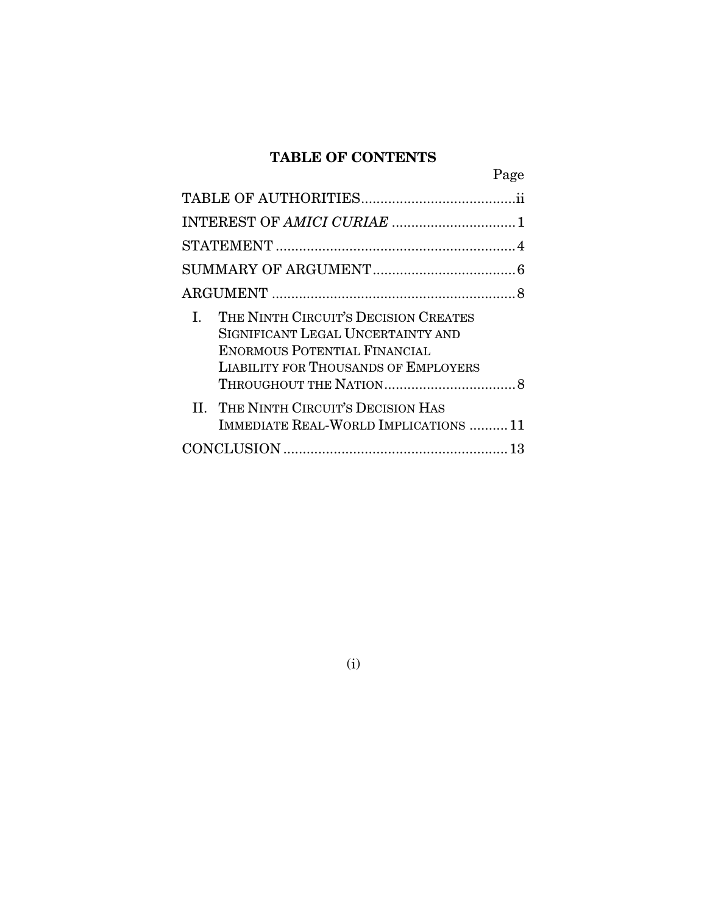## TABLE OF CONTENTS

| Page                                                                                                                                                                  |  |
|-----------------------------------------------------------------------------------------------------------------------------------------------------------------------|--|
|                                                                                                                                                                       |  |
|                                                                                                                                                                       |  |
|                                                                                                                                                                       |  |
|                                                                                                                                                                       |  |
|                                                                                                                                                                       |  |
| THE NINTH CIRCUIT'S DECISION CREATES<br>L.<br>SIGNIFICANT LEGAL UNCERTAINTY AND<br><b>ENORMOUS POTENTIAL FINANCIAL</b><br><b>LIABILITY FOR THOUSANDS OF EMPLOYERS</b> |  |
| II. THE NINTH CIRCUIT'S DECISION HAS<br>IMMEDIATE REAL-WORLD IMPLICATIONS  11                                                                                         |  |
|                                                                                                                                                                       |  |

(i)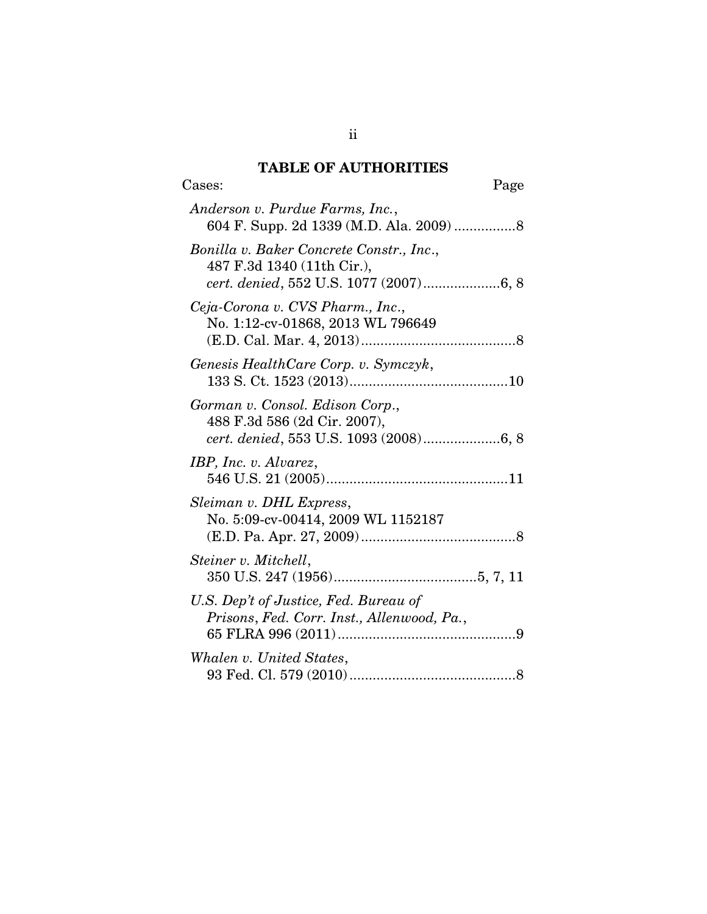## TABLE OF AUTHORITIES

| Cases:<br>Page                                                                                                   |
|------------------------------------------------------------------------------------------------------------------|
| Anderson v. Purdue Farms, Inc.,                                                                                  |
| Bonilla v. Baker Concrete Constr., Inc.,<br>487 F.3d 1340 (11th Cir.),<br>cert. denied, 552 U.S. 1077 (2007)6, 8 |
| Ceja-Corona v. CVS Pharm., Inc.,<br>No. 1:12-cv-01868, 2013 WL 796649                                            |
| Genesis HealthCare Corp. v. Symczyk,                                                                             |
| Gorman v. Consol. Edison Corp.,<br>488 F.3d 586 (2d Cir. 2007),<br>cert. denied, 553 U.S. 1093 (2008)6, 8        |
| IBP, Inc. v. Alvarez,                                                                                            |
| Sleiman v. DHL Express,<br>No. 5:09-cv-00414, 2009 WL 1152187                                                    |
| Steiner v. Mitchell,                                                                                             |
| U.S. Dep't of Justice, Fed. Bureau of<br>Prisons, Fed. Corr. Inst., Allenwood, Pa.,                              |
| Whalen v. United States,                                                                                         |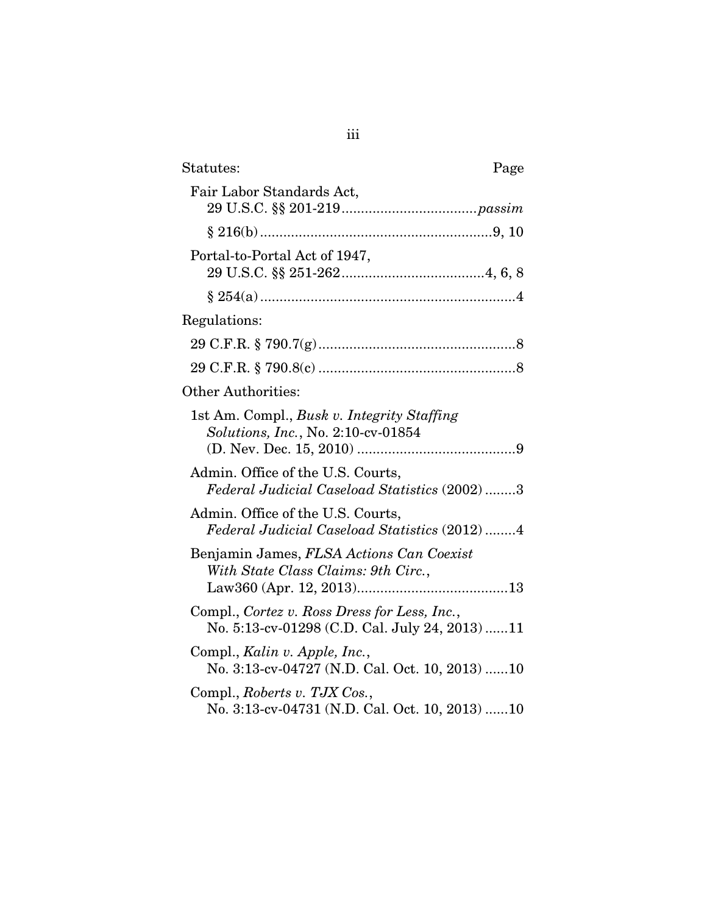| Statutes:<br>Page                                                                              |
|------------------------------------------------------------------------------------------------|
| Fair Labor Standards Act,                                                                      |
|                                                                                                |
| Portal-to-Portal Act of 1947,                                                                  |
|                                                                                                |
| Regulations:                                                                                   |
|                                                                                                |
|                                                                                                |
| <b>Other Authorities:</b>                                                                      |
| 1st Am. Compl., Busk v. Integrity Staffing<br><i>Solutions, Inc., No. 2:10-cv-01854</i>        |
| Admin. Office of the U.S. Courts,<br>Federal Judicial Caseload Statistics (2002) 3             |
| Admin. Office of the U.S. Courts,<br>Federal Judicial Caseload Statistics (2012)4              |
| Benjamin James, FLSA Actions Can Coexist<br>With State Class Claims: 9th Circ.,                |
| Compl., Cortez v. Ross Dress for Less, Inc.,<br>No. 5:13-cv-01298 (C.D. Cal. July 24, 2013) 11 |
| Compl., Kalin v. Apple, Inc.,<br>No. 3:13-cv-04727 (N.D. Cal. Oct. 10, 2013) 10                |
| Compl., Roberts v. TJX Cos.,<br>No. 3:13-cv-04731 (N.D. Cal. Oct. 10, 2013) 10                 |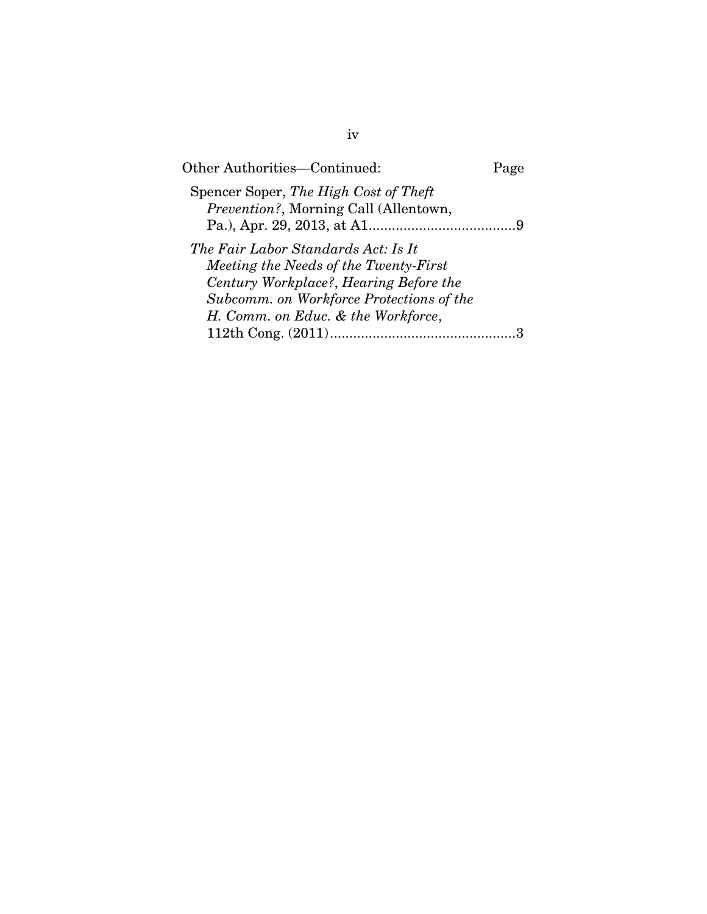| Other Authorities—Continued:                                                                                                                                                                             | Page |
|----------------------------------------------------------------------------------------------------------------------------------------------------------------------------------------------------------|------|
| Spencer Soper, The High Cost of Theft<br><i>Prevention?</i> , Morning Call (Allentown,                                                                                                                   |      |
| The Fair Labor Standards Act: Is It<br>Meeting the Needs of the Twenty-First<br>Century Workplace?, Hearing Before the<br>Subcomm. on Workforce Protections of the<br>H. Comm. on Educ. & the Workforce, |      |
|                                                                                                                                                                                                          |      |

iv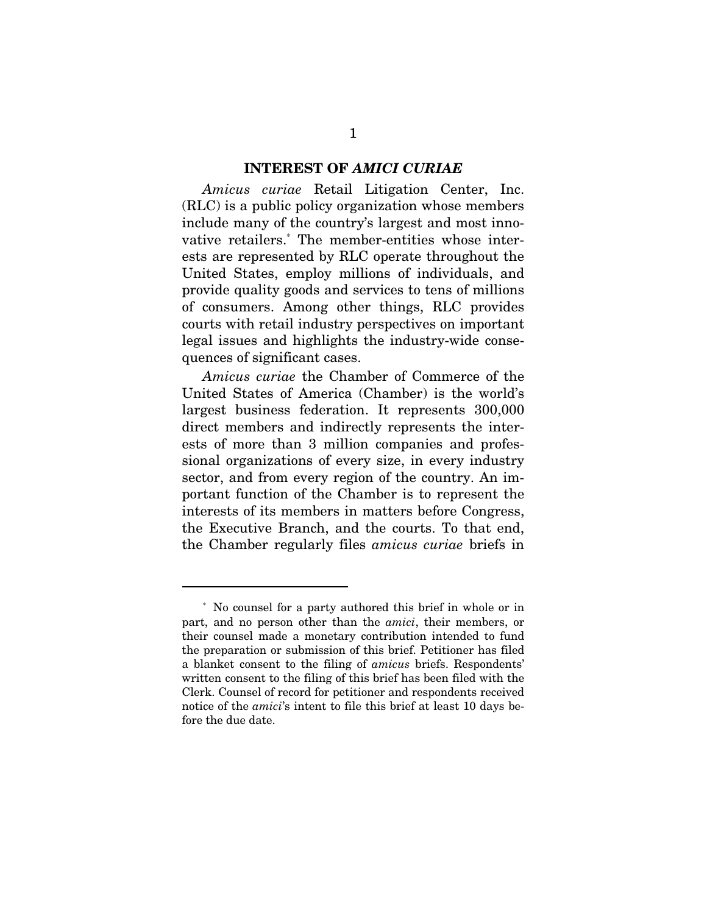#### INTEREST OF *AMICI CURIAE*

*Amicus curiae* Retail Litigation Center, Inc. (RLC) is a public policy organization whose members include many of the country's largest and most innovative retailers.\* The member-entities whose interests are represented by RLC operate throughout the United States, employ millions of individuals, and provide quality goods and services to tens of millions of consumers. Among other things, RLC provides courts with retail industry perspectives on important legal issues and highlights the industry-wide consequences of significant cases.

*Amicus curiae* the Chamber of Commerce of the United States of America (Chamber) is the world's largest business federation. It represents 300,000 direct members and indirectly represents the interests of more than 3 million companies and professional organizations of every size, in every industry sector, and from every region of the country. An important function of the Chamber is to represent the interests of its members in matters before Congress, the Executive Branch, and the courts. To that end, the Chamber regularly files *amicus curiae* briefs in

 $\overline{a}$ 

<sup>\*</sup> No counsel for a party authored this brief in whole or in part, and no person other than the *amici*, their members, or their counsel made a monetary contribution intended to fund the preparation or submission of this brief. Petitioner has filed a blanket consent to the filing of *amicus* briefs. Respondents' written consent to the filing of this brief has been filed with the Clerk. Counsel of record for petitioner and respondents received notice of the *amici*'s intent to file this brief at least 10 days before the due date.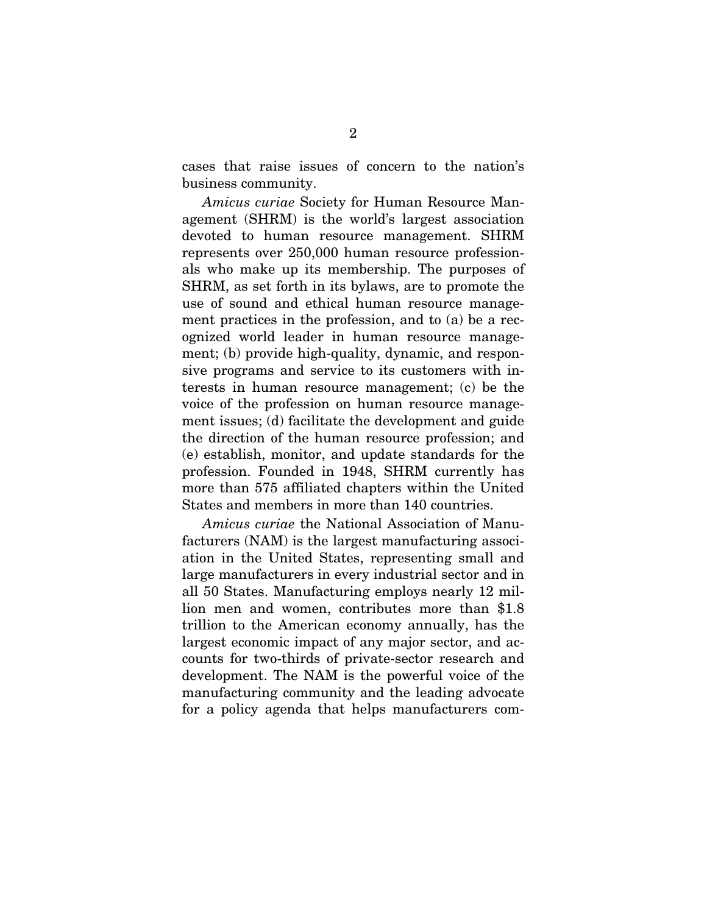cases that raise issues of concern to the nation's business community.

*Amicus curiae* Society for Human Resource Management (SHRM) is the world's largest association devoted to human resource management. SHRM represents over 250,000 human resource professionals who make up its membership. The purposes of SHRM, as set forth in its bylaws, are to promote the use of sound and ethical human resource management practices in the profession, and to (a) be a recognized world leader in human resource management; (b) provide high-quality, dynamic, and responsive programs and service to its customers with interests in human resource management; (c) be the voice of the profession on human resource management issues; (d) facilitate the development and guide the direction of the human resource profession; and (e) establish, monitor, and update standards for the profession. Founded in 1948, SHRM currently has more than 575 affiliated chapters within the United States and members in more than 140 countries.

*Amicus curiae* the National Association of Manufacturers (NAM) is the largest manufacturing association in the United States, representing small and large manufacturers in every industrial sector and in all 50 States. Manufacturing employs nearly 12 million men and women, contributes more than \$1.8 trillion to the American economy annually, has the largest economic impact of any major sector, and accounts for two-thirds of private-sector research and development. The NAM is the powerful voice of the manufacturing community and the leading advocate for a policy agenda that helps manufacturers com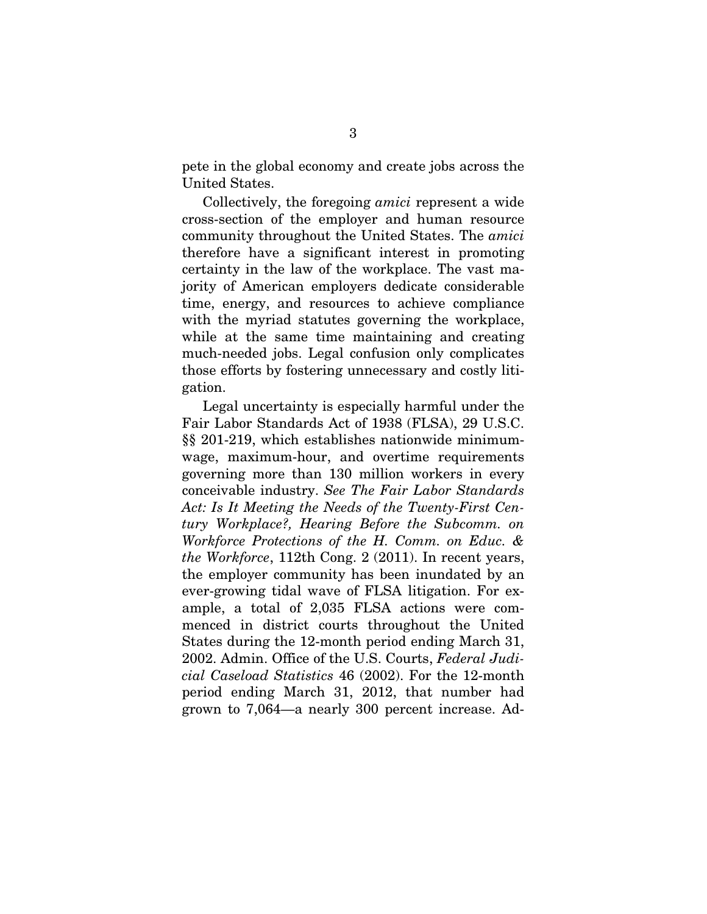pete in the global economy and create jobs across the United States.

Collectively, the foregoing *amici* represent a wide cross-section of the employer and human resource community throughout the United States. The *amici*  therefore have a significant interest in promoting certainty in the law of the workplace. The vast majority of American employers dedicate considerable time, energy, and resources to achieve compliance with the myriad statutes governing the workplace, while at the same time maintaining and creating much-needed jobs. Legal confusion only complicates those efforts by fostering unnecessary and costly litigation.

Legal uncertainty is especially harmful under the Fair Labor Standards Act of 1938 (FLSA), 29 U.S.C. §§ 201-219, which establishes nationwide minimumwage, maximum-hour, and overtime requirements governing more than 130 million workers in every conceivable industry. *See The Fair Labor Standards Act: Is It Meeting the Needs of the Twenty-First Century Workplace?, Hearing Before the Subcomm. on Workforce Protections of the H. Comm. on Educ. & the Workforce*, 112th Cong. 2 (2011). In recent years, the employer community has been inundated by an ever-growing tidal wave of FLSA litigation. For example, a total of 2,035 FLSA actions were commenced in district courts throughout the United States during the 12-month period ending March 31, 2002. Admin. Office of the U.S. Courts, *Federal Judicial Caseload Statistics* 46 (2002). For the 12-month period ending March 31, 2012, that number had grown to 7,064—a nearly 300 percent increase. Ad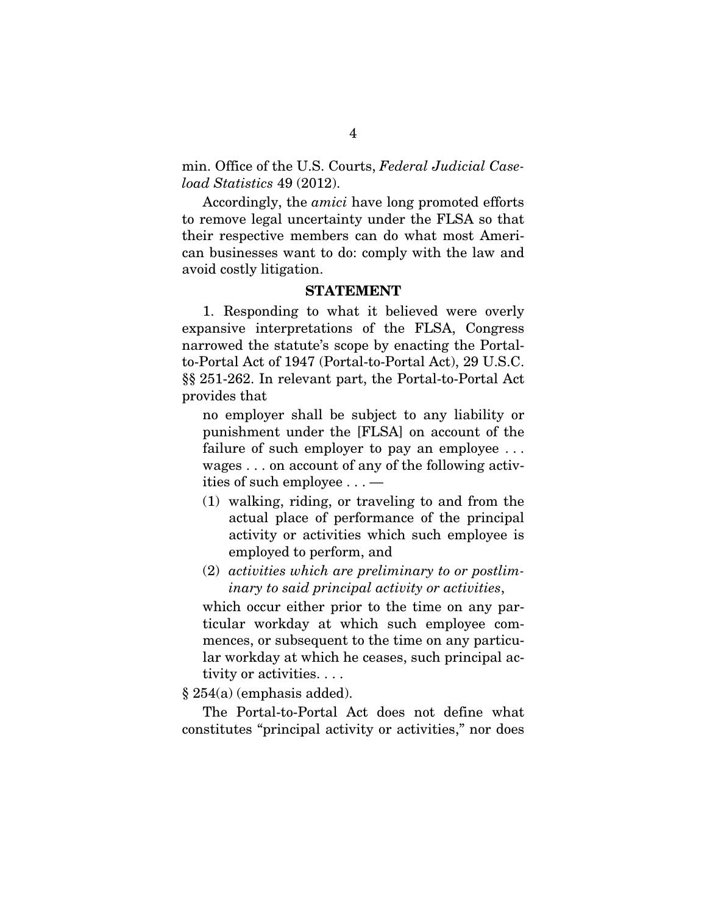min. Office of the U.S. Courts, *Federal Judicial Caseload Statistics* 49 (2012).

Accordingly, the *amici* have long promoted efforts to remove legal uncertainty under the FLSA so that their respective members can do what most American businesses want to do: comply with the law and avoid costly litigation.

#### STATEMENT

1. Responding to what it believed were overly expansive interpretations of the FLSA, Congress narrowed the statute's scope by enacting the Portalto-Portal Act of 1947 (Portal-to-Portal Act), 29 U.S.C. §§ 251-262. In relevant part, the Portal-to-Portal Act provides that

no employer shall be subject to any liability or punishment under the [FLSA] on account of the failure of such employer to pay an employee . . . wages . . . on account of any of the following activities of such employee . . . —

- (1) walking, riding, or traveling to and from the actual place of performance of the principal activity or activities which such employee is employed to perform, and
- (2) *activities which are preliminary to or postliminary to said principal activity or activities*,

which occur either prior to the time on any particular workday at which such employee commences, or subsequent to the time on any particular workday at which he ceases, such principal activity or activities. . . .

§ 254(a) (emphasis added).

The Portal-to-Portal Act does not define what constitutes "principal activity or activities," nor does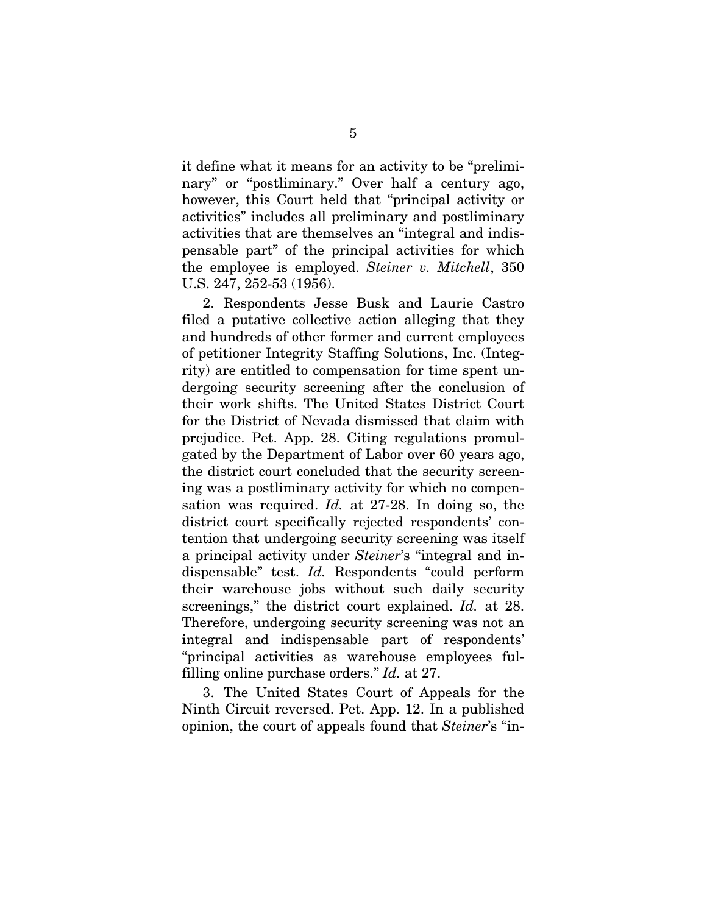it define what it means for an activity to be "preliminary" or "postliminary." Over half a century ago, however, this Court held that "principal activity or activities" includes all preliminary and postliminary activities that are themselves an "integral and indispensable part" of the principal activities for which the employee is employed. *Steiner v. Mitchell*, 350 U.S. 247, 252-53 (1956).

2. Respondents Jesse Busk and Laurie Castro filed a putative collective action alleging that they and hundreds of other former and current employees of petitioner Integrity Staffing Solutions, Inc. (Integrity) are entitled to compensation for time spent undergoing security screening after the conclusion of their work shifts. The United States District Court for the District of Nevada dismissed that claim with prejudice. Pet. App. 28. Citing regulations promulgated by the Department of Labor over 60 years ago, the district court concluded that the security screening was a postliminary activity for which no compensation was required. *Id.* at 27-28. In doing so, the district court specifically rejected respondents' contention that undergoing security screening was itself a principal activity under *Steiner*'s "integral and indispensable" test. *Id.* Respondents "could perform their warehouse jobs without such daily security screenings," the district court explained. *Id.* at 28. Therefore, undergoing security screening was not an integral and indispensable part of respondents' "principal activities as warehouse employees fulfilling online purchase orders." *Id.* at 27.

3. The United States Court of Appeals for the Ninth Circuit reversed. Pet. App. 12. In a published opinion, the court of appeals found that *Steiner*'s "in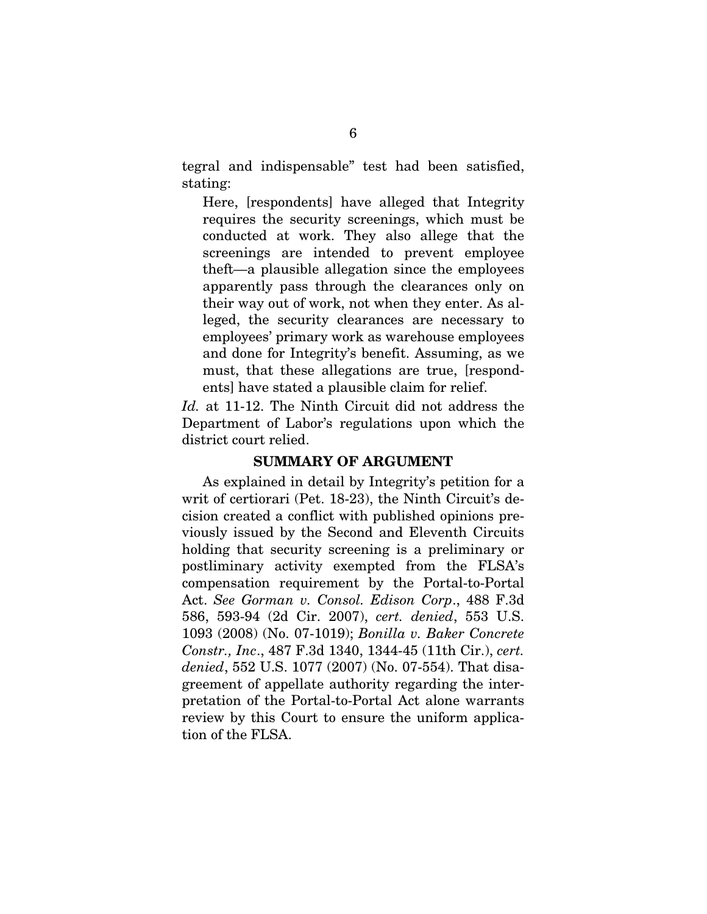tegral and indispensable" test had been satisfied, stating:

Here, [respondents] have alleged that Integrity requires the security screenings, which must be conducted at work. They also allege that the screenings are intended to prevent employee theft—a plausible allegation since the employees apparently pass through the clearances only on their way out of work, not when they enter. As alleged, the security clearances are necessary to employees' primary work as warehouse employees and done for Integrity's benefit. Assuming, as we must, that these allegations are true, [respondents] have stated a plausible claim for relief.

*Id.* at 11-12. The Ninth Circuit did not address the Department of Labor's regulations upon which the district court relied.

#### SUMMARY OF ARGUMENT

As explained in detail by Integrity's petition for a writ of certiorari (Pet. 18-23), the Ninth Circuit's decision created a conflict with published opinions previously issued by the Second and Eleventh Circuits holding that security screening is a preliminary or postliminary activity exempted from the FLSA's compensation requirement by the Portal-to-Portal Act. *See Gorman v. Consol. Edison Corp*., 488 F.3d 586, 593-94 (2d Cir. 2007), *cert. denied*, 553 U.S. 1093 (2008) (No. 07-1019); *Bonilla v. Baker Concrete Constr., Inc*., 487 F.3d 1340, 1344-45 (11th Cir.), *cert. denied*, 552 U.S. 1077 (2007) (No. 07-554). That disagreement of appellate authority regarding the interpretation of the Portal-to-Portal Act alone warrants review by this Court to ensure the uniform application of the FLSA.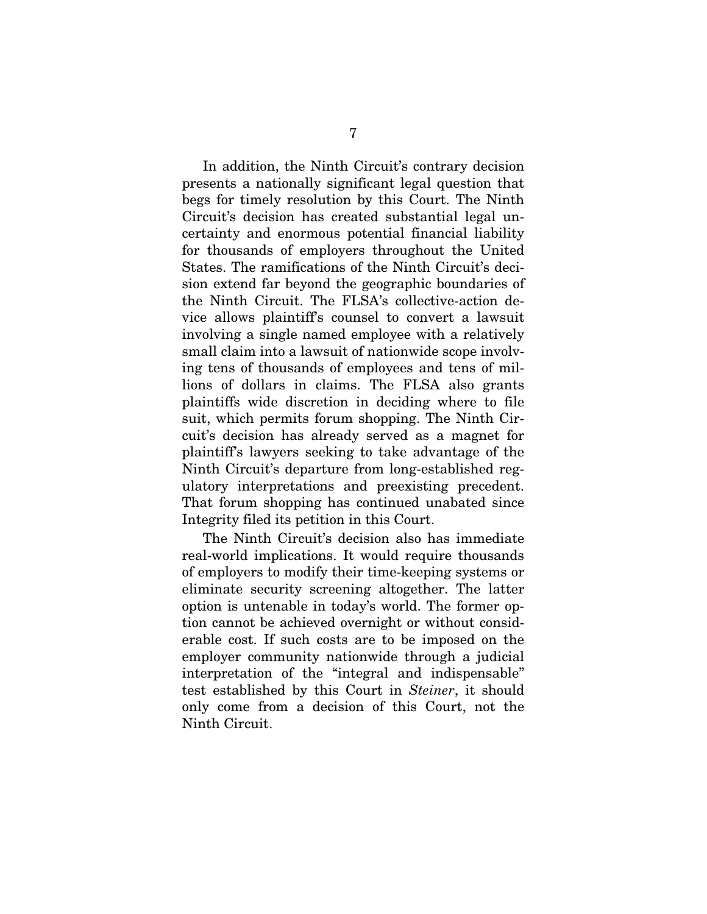In addition, the Ninth Circuit's contrary decision presents a nationally significant legal question that begs for timely resolution by this Court. The Ninth Circuit's decision has created substantial legal uncertainty and enormous potential financial liability for thousands of employers throughout the United States. The ramifications of the Ninth Circuit's decision extend far beyond the geographic boundaries of the Ninth Circuit. The FLSA's collective-action device allows plaintiff's counsel to convert a lawsuit involving a single named employee with a relatively small claim into a lawsuit of nationwide scope involving tens of thousands of employees and tens of millions of dollars in claims. The FLSA also grants plaintiffs wide discretion in deciding where to file suit, which permits forum shopping. The Ninth Circuit's decision has already served as a magnet for plaintiff's lawyers seeking to take advantage of the Ninth Circuit's departure from long-established regulatory interpretations and preexisting precedent. That forum shopping has continued unabated since Integrity filed its petition in this Court.

The Ninth Circuit's decision also has immediate real-world implications. It would require thousands of employers to modify their time-keeping systems or eliminate security screening altogether. The latter option is untenable in today's world. The former option cannot be achieved overnight or without considerable cost. If such costs are to be imposed on the employer community nationwide through a judicial interpretation of the "integral and indispensable" test established by this Court in *Steiner*, it should only come from a decision of this Court, not the Ninth Circuit.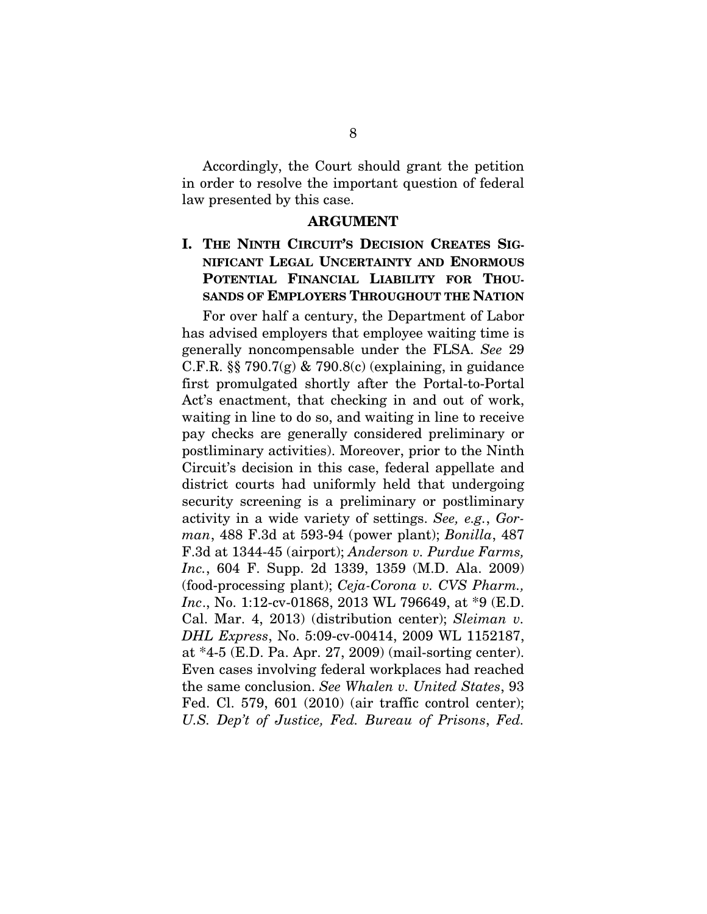Accordingly, the Court should grant the petition in order to resolve the important question of federal law presented by this case.

#### ARGUMENT

### I. THE NINTH CIRCUIT'S DECISION CREATES SIG-NIFICANT LEGAL UNCERTAINTY AND ENORMOUS POTENTIAL FINANCIAL LIABILITY FOR THOU-SANDS OF EMPLOYERS THROUGHOUT THE NATION

For over half a century, the Department of Labor has advised employers that employee waiting time is generally noncompensable under the FLSA. *See* 29 C.F.R.  $\S$  790.7(g) & 790.8(c) (explaining, in guidance first promulgated shortly after the Portal-to-Portal Act's enactment, that checking in and out of work, waiting in line to do so, and waiting in line to receive pay checks are generally considered preliminary or postliminary activities). Moreover, prior to the Ninth Circuit's decision in this case, federal appellate and district courts had uniformly held that undergoing security screening is a preliminary or postliminary activity in a wide variety of settings. *See, e.g.*, *Gorman*, 488 F.3d at 593-94 (power plant); *Bonilla*, 487 F.3d at 1344-45 (airport); *Anderson v. Purdue Farms, Inc.*, 604 F. Supp. 2d 1339, 1359 (M.D. Ala. 2009) (food-processing plant); *Ceja-Corona v. CVS Pharm., Inc*., No. 1:12-cv-01868, 2013 WL 796649, at \*9 (E.D. Cal. Mar. 4, 2013) (distribution center); *Sleiman v. DHL Express*, No. 5:09-cv-00414, 2009 WL 1152187, at \*4-5 (E.D. Pa. Apr. 27, 2009) (mail-sorting center). Even cases involving federal workplaces had reached the same conclusion. *See Whalen v. United States*, 93 Fed. Cl. 579, 601 (2010) (air traffic control center); *U.S. Dep't of Justice, Fed. Bureau of Prisons*, *Fed.*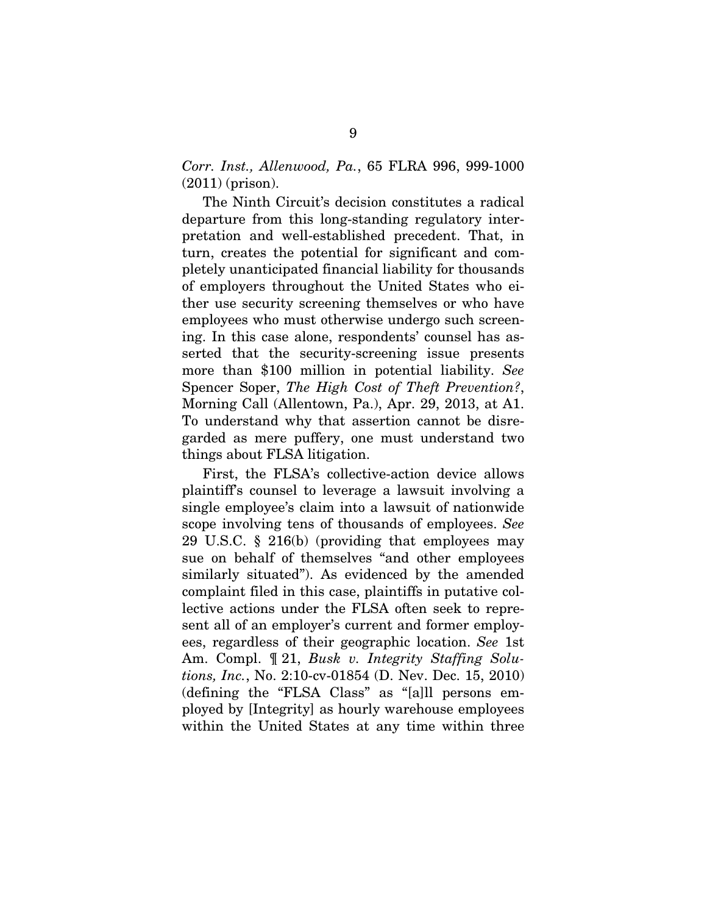*Corr. Inst., Allenwood, Pa.*, 65 FLRA 996, 999-1000 (2011) (prison).

The Ninth Circuit's decision constitutes a radical departure from this long-standing regulatory interpretation and well-established precedent. That, in turn, creates the potential for significant and completely unanticipated financial liability for thousands of employers throughout the United States who either use security screening themselves or who have employees who must otherwise undergo such screening. In this case alone, respondents' counsel has asserted that the security-screening issue presents more than \$100 million in potential liability. *See*  Spencer Soper, *The High Cost of Theft Prevention?*, Morning Call (Allentown, Pa.), Apr. 29, 2013, at A1. To understand why that assertion cannot be disregarded as mere puffery, one must understand two things about FLSA litigation.

First, the FLSA's collective-action device allows plaintiff's counsel to leverage a lawsuit involving a single employee's claim into a lawsuit of nationwide scope involving tens of thousands of employees. *See* 29 U.S.C. § 216(b) (providing that employees may sue on behalf of themselves "and other employees similarly situated"). As evidenced by the amended complaint filed in this case, plaintiffs in putative collective actions under the FLSA often seek to represent all of an employer's current and former employees, regardless of their geographic location. *See* 1st Am. Compl. ¶ 21, *Busk v. Integrity Staffing Solutions, Inc.*, No. 2:10-cv-01854 (D. Nev. Dec. 15, 2010) (defining the "FLSA Class" as "[a]ll persons employed by [Integrity] as hourly warehouse employees within the United States at any time within three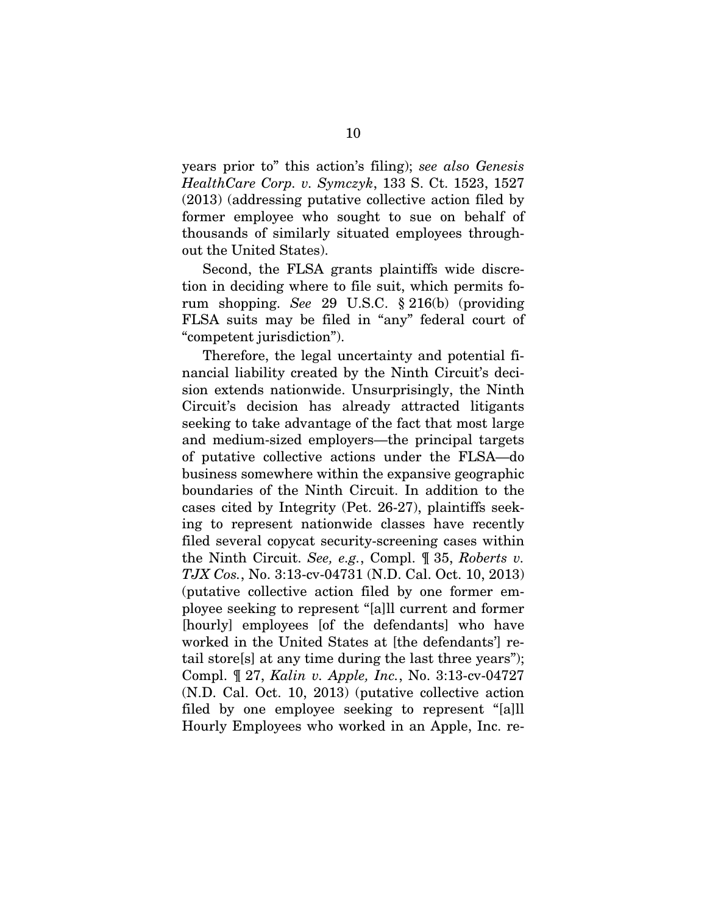years prior to" this action's filing); *see also Genesis HealthCare Corp. v. Symczyk*, 133 S. Ct. 1523, 1527 (2013) (addressing putative collective action filed by former employee who sought to sue on behalf of thousands of similarly situated employees throughout the United States).

Second, the FLSA grants plaintiffs wide discretion in deciding where to file suit, which permits forum shopping. *See* 29 U.S.C. § 216(b) (providing FLSA suits may be filed in "any" federal court of "competent jurisdiction").

Therefore, the legal uncertainty and potential financial liability created by the Ninth Circuit's decision extends nationwide. Unsurprisingly, the Ninth Circuit's decision has already attracted litigants seeking to take advantage of the fact that most large and medium-sized employers—the principal targets of putative collective actions under the FLSA—do business somewhere within the expansive geographic boundaries of the Ninth Circuit. In addition to the cases cited by Integrity (Pet. 26-27), plaintiffs seeking to represent nationwide classes have recently filed several copycat security-screening cases within the Ninth Circuit. *See, e.g.*, Compl. ¶ 35, *Roberts v. TJX Cos.*, No. 3:13-cv-04731 (N.D. Cal. Oct. 10, 2013) (putative collective action filed by one former employee seeking to represent "[a]ll current and former [hourly] employees [of the defendants] who have worked in the United States at [the defendants'] retail store[s] at any time during the last three years"); Compl. ¶ 27, *Kalin v. Apple, Inc.*, No. 3:13-cv-04727 (N.D. Cal. Oct. 10, 2013) (putative collective action filed by one employee seeking to represent "[a]ll Hourly Employees who worked in an Apple, Inc. re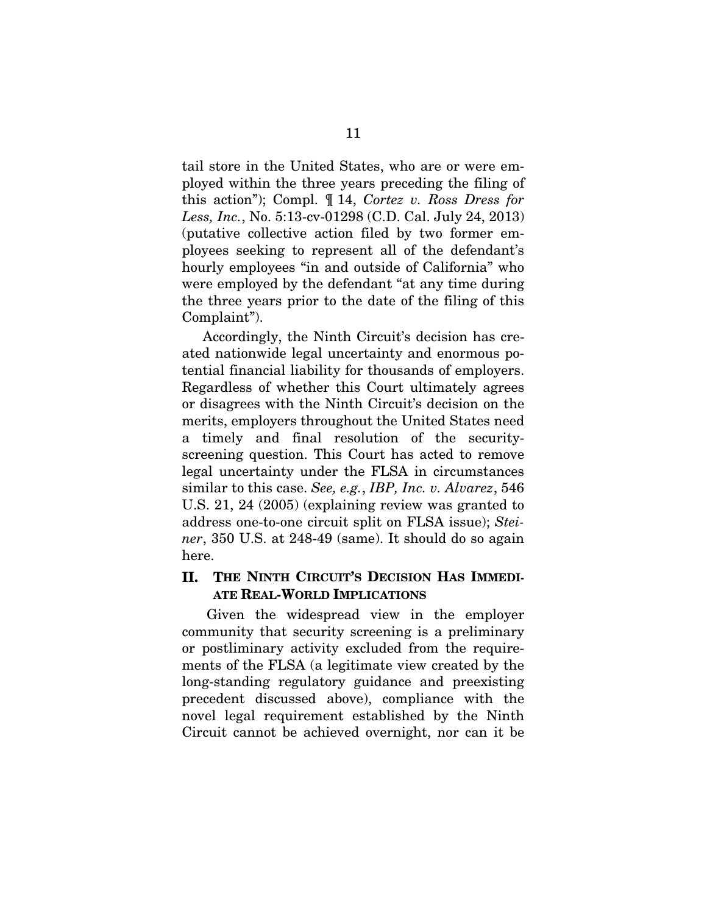tail store in the United States, who are or were employed within the three years preceding the filing of this action"); Compl. ¶ 14, *Cortez v. Ross Dress for Less, Inc.*, No. 5:13-cv-01298 (C.D. Cal. July 24, 2013) (putative collective action filed by two former employees seeking to represent all of the defendant's hourly employees "in and outside of California" who were employed by the defendant "at any time during the three years prior to the date of the filing of this Complaint").

Accordingly, the Ninth Circuit's decision has created nationwide legal uncertainty and enormous potential financial liability for thousands of employers. Regardless of whether this Court ultimately agrees or disagrees with the Ninth Circuit's decision on the merits, employers throughout the United States need a timely and final resolution of the securityscreening question. This Court has acted to remove legal uncertainty under the FLSA in circumstances similar to this case. *See, e.g.*, *IBP, Inc. v. Alvarez*, 546 U.S. 21, 24 (2005) (explaining review was granted to address one-to-one circuit split on FLSA issue); *Steiner*, 350 U.S. at 248-49 (same). It should do so again here.

### II. THE NINTH CIRCUIT'S DECISION HAS IMMEDI-ATE REAL-WORLD IMPLICATIONS

 Given the widespread view in the employer community that security screening is a preliminary or postliminary activity excluded from the requirements of the FLSA (a legitimate view created by the long-standing regulatory guidance and preexisting precedent discussed above), compliance with the novel legal requirement established by the Ninth Circuit cannot be achieved overnight, nor can it be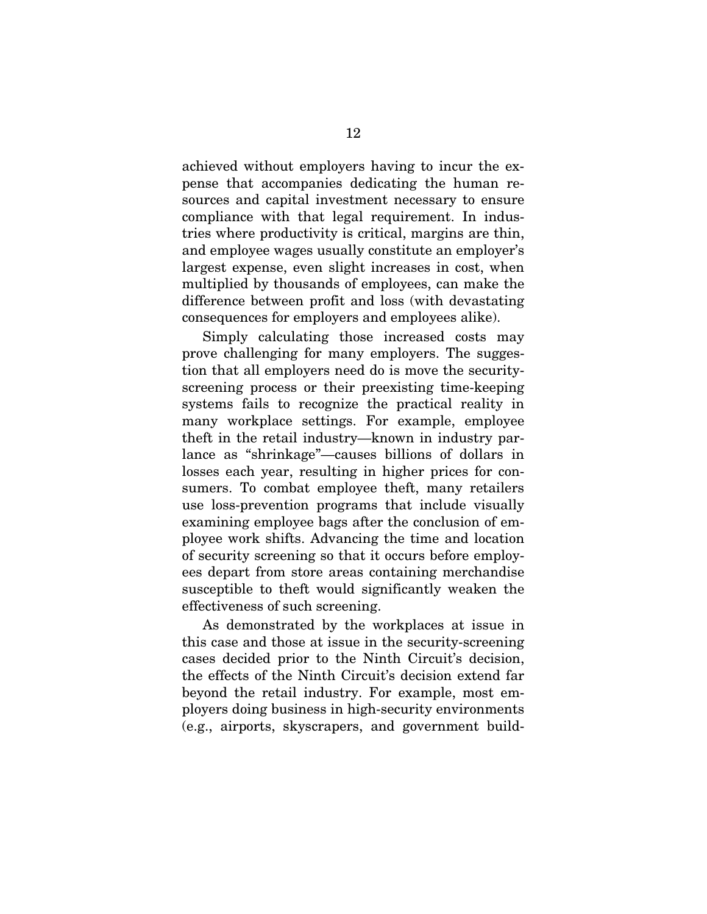achieved without employers having to incur the expense that accompanies dedicating the human resources and capital investment necessary to ensure compliance with that legal requirement. In industries where productivity is critical, margins are thin, and employee wages usually constitute an employer's largest expense, even slight increases in cost, when multiplied by thousands of employees, can make the difference between profit and loss (with devastating consequences for employers and employees alike).

Simply calculating those increased costs may prove challenging for many employers. The suggestion that all employers need do is move the securityscreening process or their preexisting time-keeping systems fails to recognize the practical reality in many workplace settings. For example, employee theft in the retail industry—known in industry parlance as "shrinkage"—causes billions of dollars in losses each year, resulting in higher prices for consumers. To combat employee theft, many retailers use loss-prevention programs that include visually examining employee bags after the conclusion of employee work shifts. Advancing the time and location of security screening so that it occurs before employees depart from store areas containing merchandise susceptible to theft would significantly weaken the effectiveness of such screening.

As demonstrated by the workplaces at issue in this case and those at issue in the security-screening cases decided prior to the Ninth Circuit's decision, the effects of the Ninth Circuit's decision extend far beyond the retail industry. For example, most employers doing business in high-security environments (e.g., airports, skyscrapers, and government build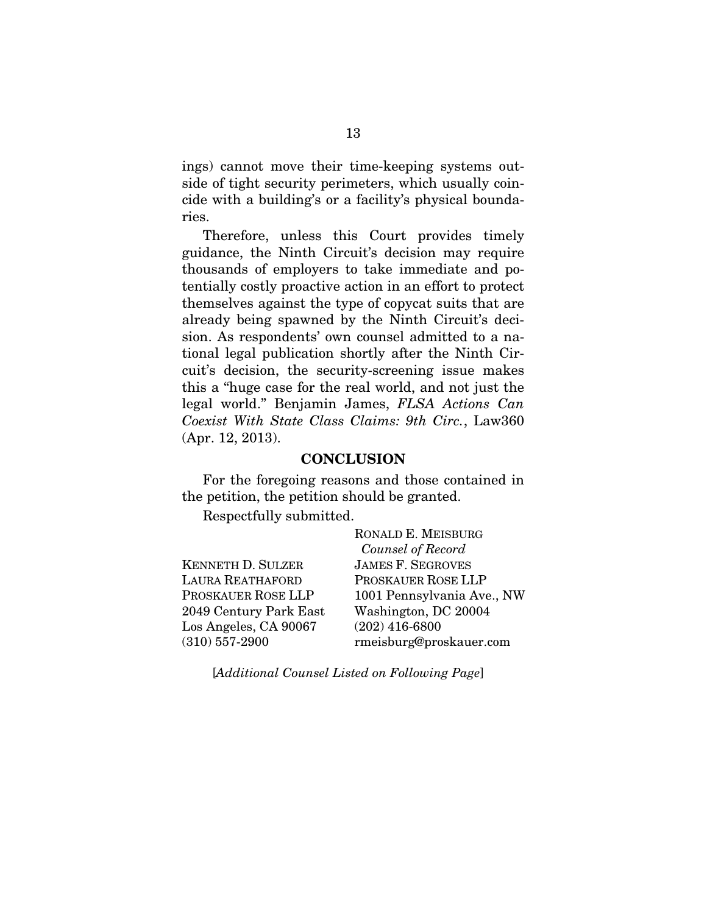ings) cannot move their time-keeping systems outside of tight security perimeters, which usually coincide with a building's or a facility's physical boundaries.

Therefore, unless this Court provides timely guidance, the Ninth Circuit's decision may require thousands of employers to take immediate and potentially costly proactive action in an effort to protect themselves against the type of copycat suits that are already being spawned by the Ninth Circuit's decision. As respondents' own counsel admitted to a national legal publication shortly after the Ninth Circuit's decision, the security-screening issue makes this a "huge case for the real world, and not just the legal world." Benjamin James, *FLSA Actions Can Coexist With State Class Claims: 9th Circ.*, Law360 (Apr. 12, 2013).

#### **CONCLUSION**

For the foregoing reasons and those contained in the petition, the petition should be granted.

Respectfully submitted.

|                          | RONALD E. MEISBURG         |
|--------------------------|----------------------------|
|                          | Counsel of Record          |
| <b>KENNETH D. SULZER</b> | <b>JAMES F. SEGROVES</b>   |
| <b>LAURA REATHAFORD</b>  | PROSKAUER ROSE LLP         |
| PROSKAUER ROSE LLP       | 1001 Pennsylvania Ave., NW |
| 2049 Century Park East   | Washington, DC 20004       |
| Los Angeles, CA 90067    | $(202)$ 416-6800           |
| $(310)$ 557-2900         | rmeisburg@proskauer.com    |

[*Additional Counsel Listed on Following Page*]